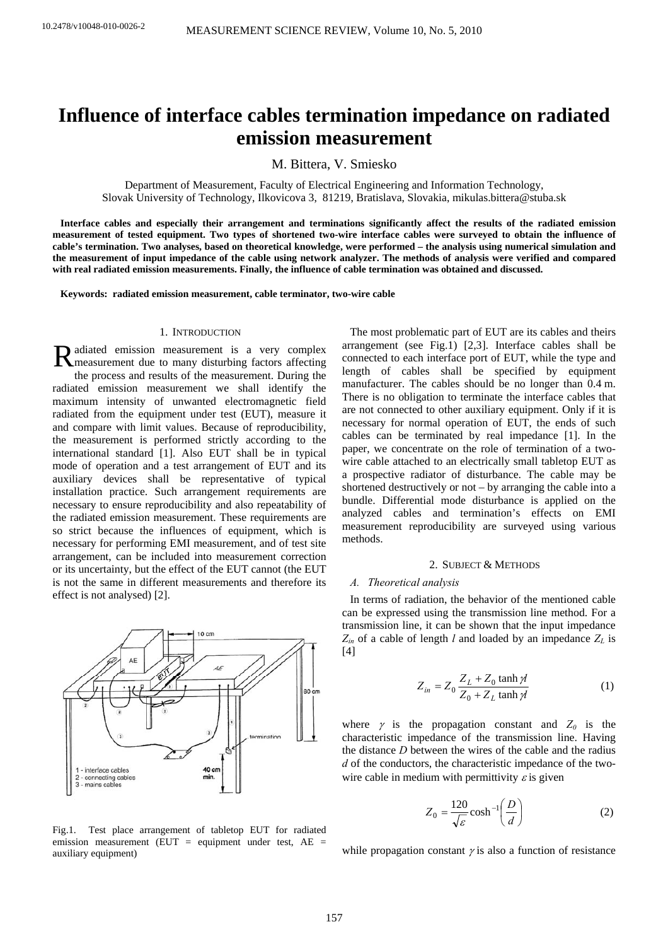# **Influence of interface cables termination impedance on radiated emission measurement**

M. Bittera, V. Smiesko

Department of Measurement, Faculty of Electrical Engineering and Information Technology, Slovak University of Technology, Ilkovicova 3, 81219, Bratislava, Slovakia, mikulas.bittera@stuba.sk

**Interface cables and especially their arrangement and terminations significantly affect the results of the radiated emission measurement of tested equipment. Two types of shortened two-wire interface cables were surveyed to obtain the influence of cable's termination. Two analyses, based on theoretical knowledge, were performed – the analysis using numerical simulation and the measurement of input impedance of the cable using network analyzer. The methods of analysis were verified and compared with real radiated emission measurements. Finally, the influence of cable termination was obtained and discussed.** 

**Keywords: radiated emission measurement, cable terminator, two-wire cable** 

#### 1. INTRODUCTION

adiated emission measurement is a very complex Radiated emission measurement is a very complex<br>
Reneasurement due to many disturbing factors affecting the process and results of the measurement. During the radiated emission measurement we shall identify the maximum intensity of unwanted electromagnetic field radiated from the equipment under test (EUT), measure it and compare with limit values. Because of reproducibility, the measurement is performed strictly according to the international standard [1]. Also EUT shall be in typical mode of operation and a test arrangement of EUT and its auxiliary devices shall be representative of typical installation practice. Such arrangement requirements are necessary to ensure reproducibility and also repeatability of the radiated emission measurement. These requirements are so strict because the influences of equipment, which is necessary for performing EMI measurement, and of test site arrangement, can be included into measurement correction or its uncertainty, but the effect of the EUT cannot (the EUT is not the same in different measurements and therefore its effect is not analysed) [2].



Fig.1. Test place arrangement of tabletop EUT for radiated emission measurement (EUT = equipment under test,  $AE =$ auxiliary equipment)

The most problematic part of EUT are its cables and theirs arrangement (see Fig.1) [2,3]. Interface cables shall be connected to each interface port of EUT, while the type and length of cables shall be specified by equipment manufacturer. The cables should be no longer than 0.4 m. There is no obligation to terminate the interface cables that are not connected to other auxiliary equipment. Only if it is necessary for normal operation of EUT, the ends of such cables can be terminated by real impedance [1]. In the paper, we concentrate on the role of termination of a twowire cable attached to an electrically small tabletop EUT as a prospective radiator of disturbance. The cable may be shortened destructively or not – by arranging the cable into a bundle. Differential mode disturbance is applied on the analyzed cables and termination's effects on EMI measurement reproducibility are surveyed using various methods.

## 2. SUBJECT & METHODS

#### *A. Theoretical analysis*

In terms of radiation, the behavior of the mentioned cable can be expressed using the transmission line method. For a transmission line, it can be shown that the input impedance  $Z_{in}$  of a cable of length *l* and loaded by an impedance  $Z_L$  is [4]

$$
Z_{in} = Z_0 \frac{Z_L + Z_0 \tanh \gamma l}{Z_0 + Z_L \tanh \gamma l}
$$
 (1)

where  $\gamma$  is the propagation constant and  $Z_0$  is the characteristic impedance of the transmission line. Having the distance *D* between the wires of the cable and the radius *d* of the conductors, the characteristic impedance of the twowire cable in medium with permittivity  $\varepsilon$  is given

$$
Z_0 = \frac{120}{\sqrt{\varepsilon}} \cosh^{-1} \left( \frac{D}{d} \right) \tag{2}
$$

while propagation constant  $\gamma$  is also a function of resistance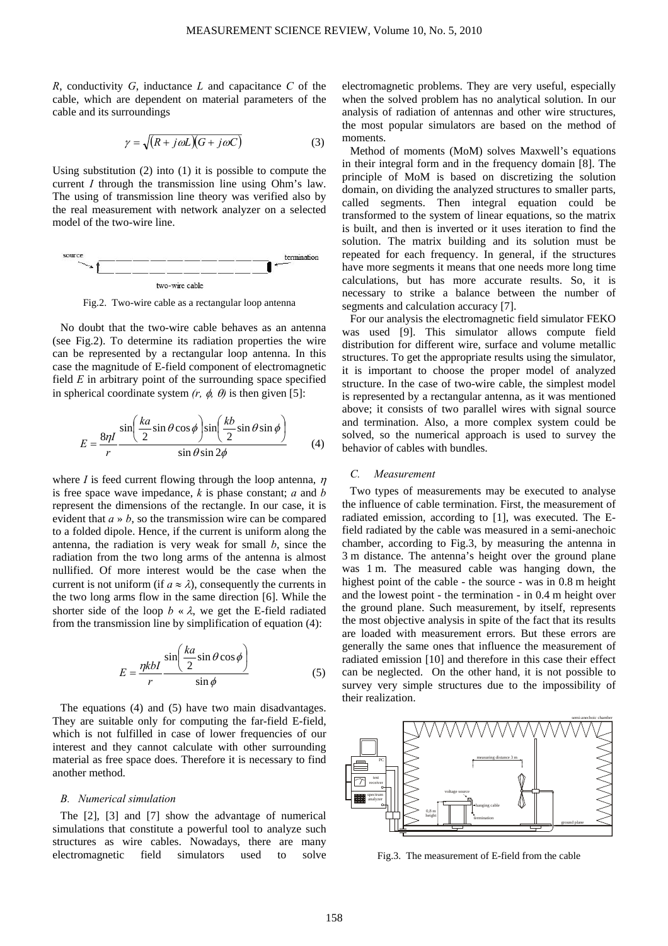*R*, conductivity *G*, inductance *L* and capacitance *C* of the cable, which are dependent on material parameters of the cable and its surroundings

$$
\gamma = \sqrt{(R + j\omega L)(G + j\omega C)}\tag{3}
$$

Using substitution (2) into (1) it is possible to compute the current *I* through the transmission line using Ohm's law. The using of transmission line theory was verified also by the real measurement with network analyzer on a selected model of the two-wire line.



Fig.2. Two-wire cable as a rectangular loop antenna

No doubt that the two-wire cable behaves as an antenna (see Fig.2). To determine its radiation properties the wire can be represented by a rectangular loop antenna. In this case the magnitude of E-field component of electromagnetic field *E* in arbitrary point of the surrounding space specified in spherical coordinate system  $(r, \phi, \theta)$  is then given [5]:

$$
E = \frac{8\eta I}{r} \frac{\sin\left(\frac{ka}{2}\sin\theta\cos\phi\right)\sin\left(\frac{kb}{2}\sin\theta\sin\phi\right)}{\sin\theta\sin 2\phi}
$$
 (4)

where *I* is feed current flowing through the loop antenna,  $\eta$ is free space wave impedance, *k* is phase constant; *a* and *b* represent the dimensions of the rectangle. In our case, it is evident that *a* » *b*, so the transmission wire can be compared to a folded dipole. Hence, if the current is uniform along the antenna, the radiation is very weak for small *b*, since the radiation from the two long arms of the antenna is almost nullified. Of more interest would be the case when the current is not uniform (if  $a \approx \lambda$ ), consequently the currents in the two long arms flow in the same direction [6]. While the shorter side of the loop  $b \times \lambda$ , we get the E-field radiated from the transmission line by simplification of equation (4):

$$
E = \frac{\eta k I}{r} \frac{\sin\left(\frac{k a}{2} \sin \theta \cos \phi\right)}{\sin \phi} \tag{5}
$$

The equations (4) and (5) have two main disadvantages. They are suitable only for computing the far-field E-field, which is not fulfilled in case of lower frequencies of our interest and they cannot calculate with other surrounding material as free space does. Therefore it is necessary to find another method.

#### *B. Numerical simulation*

The [2], [3] and [7] show the advantage of numerical simulations that constitute a powerful tool to analyze such structures as wire cables. Nowadays, there are many electromagnetic field simulators used to solve electromagnetic problems. They are very useful, especially when the solved problem has no analytical solution. In our analysis of radiation of antennas and other wire structures, the most popular simulators are based on the method of moments.

Method of moments (MoM) solves Maxwell's equations in their integral form and in the frequency domain [8]. The principle of MoM is based on discretizing the solution domain, on dividing the analyzed structures to smaller parts, called segments. Then integral equation could be transformed to the system of linear equations, so the matrix is built, and then is inverted or it uses iteration to find the solution. The matrix building and its solution must be repeated for each frequency. In general, if the structures have more segments it means that one needs more long time calculations, but has more accurate results. So, it is necessary to strike a balance between the number of segments and calculation accuracy [7].

For our analysis the electromagnetic field simulator FEKO was used [9]. This simulator allows compute field distribution for different wire, surface and volume metallic structures. To get the appropriate results using the simulator, it is important to choose the proper model of analyzed structure. In the case of two-wire cable, the simplest model is represented by a rectangular antenna, as it was mentioned above; it consists of two parallel wires with signal source and termination. Also, a more complex system could be solved, so the numerical approach is used to survey the behavior of cables with bundles.

# *C. Measurement*

Two types of measurements may be executed to analyse the influence of cable termination. First, the measurement of radiated emission, according to [1], was executed. The Efield radiated by the cable was measured in a semi-anechoic chamber, according to Fig.3, by measuring the antenna in 3 m distance. The antenna's height over the ground plane was 1 m. The measured cable was hanging down, the highest point of the cable - the source - was in 0.8 m height and the lowest point - the termination - in 0.4 m height over the ground plane. Such measurement, by itself, represents the most objective analysis in spite of the fact that its results are loaded with measurement errors. But these errors are generally the same ones that influence the measurement of radiated emission [10] and therefore in this case their effect can be neglected. On the other hand, it is not possible to survey very simple structures due to the impossibility of their realization.



Fig.3. The measurement of E-field from the cable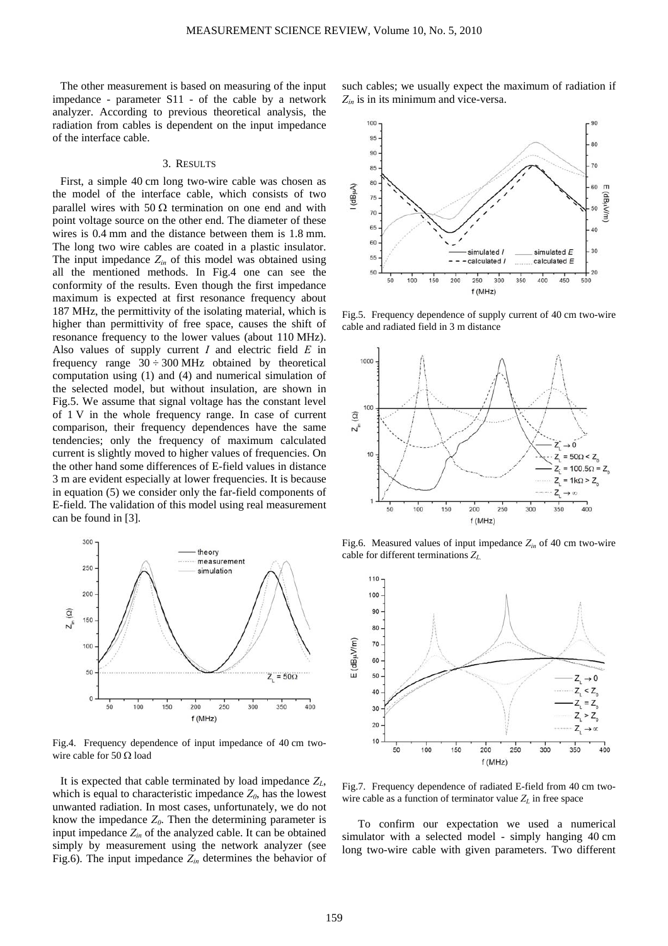The other measurement is based on measuring of the input impedance - parameter S11 - of the cable by a network analyzer. According to previous theoretical analysis, the radiation from cables is dependent on the input impedance of the interface cable.

#### 3. RESULTS

First, a simple 40 cm long two-wire cable was chosen as the model of the interface cable, which consists of two parallel wires with 50  $\Omega$  termination on one end and with point voltage source on the other end. The diameter of these wires is 0.4 mm and the distance between them is 1.8 mm. The long two wire cables are coated in a plastic insulator. The input impedance  $Z_{in}$  of this model was obtained using all the mentioned methods. In Fig.4 one can see the conformity of the results. Even though the first impedance maximum is expected at first resonance frequency about 187 MHz, the permittivity of the isolating material, which is higher than permittivity of free space, causes the shift of resonance frequency to the lower values (about 110 MHz). Also values of supply current *I* and electric field *E* in frequency range  $30 \div 300$  MHz obtained by theoretical computation using (1) and (4) and numerical simulation of the selected model, but without insulation, are shown in Fig.5. We assume that signal voltage has the constant level of 1 V in the whole frequency range. In case of current comparison, their frequency dependences have the same tendencies; only the frequency of maximum calculated current is slightly moved to higher values of frequencies. On the other hand some differences of E-field values in distance 3 m are evident especially at lower frequencies. It is because in equation (5) we consider only the far-field components of E-field. The validation of this model using real measurement can be found in [3].



Fig.4. Frequency dependence of input impedance of 40 cm twowire cable for 50 Ω load

It is expected that cable terminated by load impedance  $Z_L$ , which is equal to characteristic impedance  $Z_0$ , has the lowest unwanted radiation. In most cases, unfortunately, we do not know the impedance  $Z_0$ . Then the determining parameter is input impedance  $Z_{in}$  of the analyzed cable. It can be obtained simply by measurement using the network analyzer (see Fig.6). The input impedance  $Z_{in}$  determines the behavior of

such cables; we usually expect the maximum of radiation if *Zin* is in its minimum and vice-versa.



Fig.5. Frequency dependence of supply current of 40 cm two-wire cable and radiated field in 3 m distance



Fig.6. Measured values of input impedance *Zin* of 40 cm two-wire cable for different terminations *ZL.* 



Fig.7. Frequency dependence of radiated E-field from 40 cm twowire cable as a function of terminator value  $Z_L$  in free space

To confirm our expectation we used a numerical simulator with a selected model - simply hanging 40 cm long two-wire cable with given parameters. Two different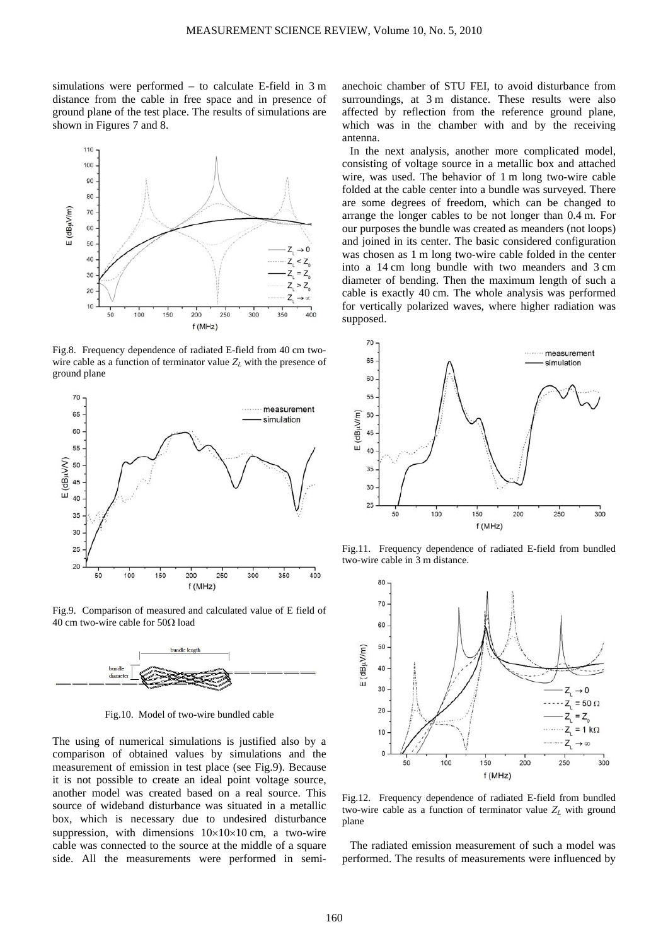simulations were performed – to calculate E-field in 3 m distance from the cable in free space and in presence of ground plane of the test place. The results of simulations are shown in Figures 7 and 8.



Fig.8. Frequency dependence of radiated E-field from 40 cm twowire cable as a function of terminator value  $Z_L$  with the presence of ground plane



Fig.9. Comparison of measured and calculated value of E field of 40 cm two-wire cable for 50Ω load



Fig.10. Model of two-wire bundled cable

The using of numerical simulations is justified also by a comparison of obtained values by simulations and the measurement of emission in test place (see Fig.9). Because it is not possible to create an ideal point voltage source, another model was created based on a real source. This source of wideband disturbance was situated in a metallic box, which is necessary due to undesired disturbance suppression, with dimensions  $10\times10\times10$  cm, a two-wire cable was connected to the source at the middle of a square side. All the measurements were performed in semi-

anechoic chamber of STU FEI, to avoid disturbance from surroundings, at 3 m distance. These results were also affected by reflection from the reference ground plane, which was in the chamber with and by the receiving antenna.

In the next analysis, another more complicated model, consisting of voltage source in a metallic box and attached wire, was used. The behavior of 1 m long two-wire cable folded at the cable center into a bundle was surveyed. There are some degrees of freedom, which can be changed to arrange the longer cables to be not longer than 0.4 m. For our purposes the bundle was created as meanders (not loops) and joined in its center. The basic considered configuration was chosen as 1 m long two-wire cable folded in the center into a 14 cm long bundle with two meanders and 3 cm diameter of bending. Then the maximum length of such a cable is exactly 40 cm. The whole analysis was performed for vertically polarized waves, where higher radiation was supposed.



Fig.11. Frequency dependence of radiated E-field from bundled two-wire cable in 3 m distance.



Fig.12. Frequency dependence of radiated E-field from bundled two-wire cable as a function of terminator value  $Z_L$  with ground plane

The radiated emission measurement of such a model was performed. The results of measurements were influenced by